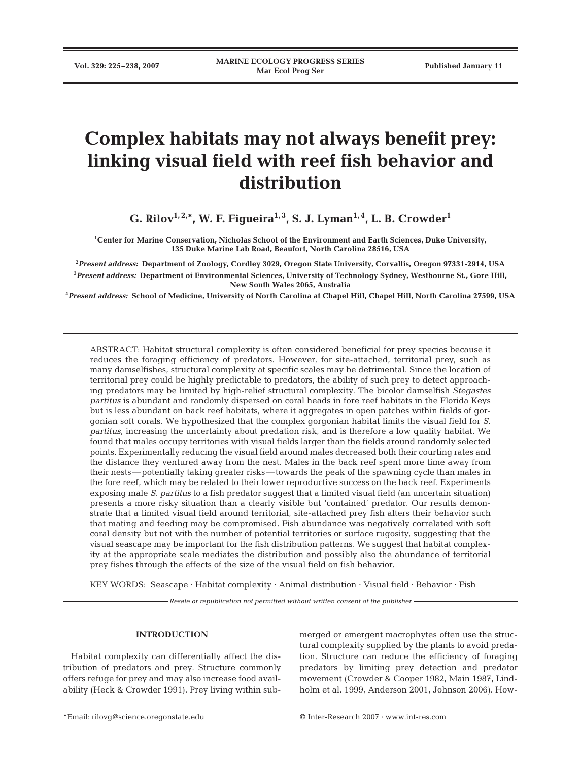# **Complex habitats may not always benefit prey: linking visual field with reef fish behavior and distribution**

**G. Rilov1, 2,\*, W. F. Figueira1, 3, S. J. Lyman1, 4, L. B. Crowder1**

**1 Center for Marine Conservation, Nicholas School of the Environment and Earth Sciences, Duke University, 135 Duke Marine Lab Road, Beaufort, North Carolina 28516, USA**

**2** *Present address:* **Department of Zoology, Cordley 3029, Oregon State University, Corvallis, Oregon 97331-2914, USA 3** *Present address:* **Department of Environmental Sciences, University of Technology Sydney, Westbourne St., Gore Hill, New South Wales 2065, Australia**

**4** *Present address:* **School of Medicine, University of North Carolina at Chapel Hill, Chapel Hill, North Carolina 27599, USA**

ABSTRACT: Habitat structural complexity is often considered beneficial for prey species because it reduces the foraging efficiency of predators. However, for site-attached, territorial prey, such as many damselfishes, structural complexity at specific scales may be detrimental. Since the location of territorial prey could be highly predictable to predators, the ability of such prey to detect approaching predators may be limited by high-relief structural complexity. The bicolor damselfish *Stegastes partitus* is abundant and randomly dispersed on coral heads in fore reef habitats in the Florida Keys but is less abundant on back reef habitats, where it aggregates in open patches within fields of gorgonian soft corals. We hypothesized that the complex gorgonian habitat limits the visual field for *S. partitus*, increasing the uncertainty about predation risk, and is therefore a low quality habitat. We found that males occupy territories with visual fields larger than the fields around randomly selected points. Experimentally reducing the visual field around males decreased both their courting rates and the distance they ventured away from the nest. Males in the back reef spent more time away from their nests—potentially taking greater risks—towards the peak of the spawning cycle than males in the fore reef, which may be related to their lower reproductive success on the back reef. Experiments exposing male *S. partitus* to a fish predator suggest that a limited visual field (an uncertain situation) presents a more risky situation than a clearly visible but 'contained' predator. Our results demonstrate that a limited visual field around territorial, site-attached prey fish alters their behavior such that mating and feeding may be compromised. Fish abundance was negatively correlated with soft coral density but not with the number of potential territories or surface rugosity, suggesting that the visual seascape may be important for the fish distribution patterns. We suggest that habitat complexity at the appropriate scale mediates the distribution and possibly also the abundance of territorial prey fishes through the effects of the size of the visual field on fish behavior.

KEY WORDS: Seascape · Habitat complexity · Animal distribution · Visual field · Behavior · Fish

*Resale or republication not permitted without written consent of the publisher*

# **INTRODUCTION**

Habitat complexity can differentially affect the distribution of predators and prey. Structure commonly offers refuge for prey and may also increase food availability (Heck & Crowder 1991). Prey living within sub-

merged or emergent macrophytes often use the structural complexity supplied by the plants to avoid predation. Structure can reduce the efficiency of foraging predators by limiting prey detection and predator movement (Crowder & Cooper 1982, Main 1987, Lindholm et al. 1999, Anderson 2001, Johnson 2006). How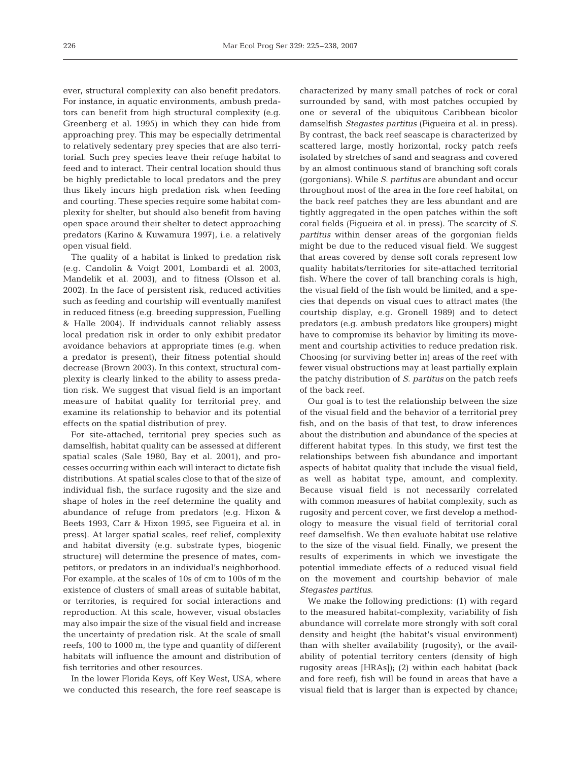ever, structural complexity can also benefit predators. For instance, in aquatic environments, ambush predators can benefit from high structural complexity (e.g. Greenberg et al. 1995) in which they can hide from approaching prey. This may be especially detrimental to relatively sedentary prey species that are also territorial. Such prey species leave their refuge habitat to feed and to interact. Their central location should thus be highly predictable to local predators and the prey thus likely incurs high predation risk when feeding and courting. These species require some habitat complexity for shelter, but should also benefit from having open space around their shelter to detect approaching predators (Karino & Kuwamura 1997), i.e. a relatively open visual field.

The quality of a habitat is linked to predation risk (e.g. Candolin & Voigt 2001, Lombardi et al. 2003, Mandelik et al. 2003), and to fitness (Olsson et al. 2002). In the face of persistent risk, reduced activities such as feeding and courtship will eventually manifest in reduced fitness (e.g. breeding suppression, Fuelling & Halle 2004). If individuals cannot reliably assess local predation risk in order to only exhibit predator avoidance behaviors at appropriate times (e.g. when a predator is present), their fitness potential should decrease (Brown 2003). In this context, structural complexity is clearly linked to the ability to assess predation risk. We suggest that visual field is an important measure of habitat quality for territorial prey, and examine its relationship to behavior and its potential effects on the spatial distribution of prey.

For site-attached, territorial prey species such as damselfish, habitat quality can be assessed at different spatial scales (Sale 1980, Bay et al. 2001), and processes occurring within each will interact to dictate fish distributions. At spatial scales close to that of the size of individual fish, the surface rugosity and the size and shape of holes in the reef determine the quality and abundance of refuge from predators (e.g. Hixon & Beets 1993, Carr & Hixon 1995, see Figueira et al. in press). At larger spatial scales, reef relief, complexity and habitat diversity (e.g. substrate types, biogenic structure) will determine the presence of mates, competitors, or predators in an individual's neighborhood. For example, at the scales of 10s of cm to 100s of m the existence of clusters of small areas of suitable habitat, or territories, is required for social interactions and reproduction. At this scale, however, visual obstacles may also impair the size of the visual field and increase the uncertainty of predation risk. At the scale of small reefs, 100 to 1000 m, the type and quantity of different habitats will influence the amount and distribution of fish territories and other resources.

In the lower Florida Keys, off Key West, USA, where we conducted this research, the fore reef seascape is

characterized by many small patches of rock or coral surrounded by sand, with most patches occupied by one or several of the ubiquitous Caribbean bicolor damselfish *Stegastes partitus* (Figueira et al. in press). By contrast, the back reef seascape is characterized by scattered large, mostly horizontal, rocky patch reefs isolated by stretches of sand and seagrass and covered by an almost continuous stand of branching soft corals (gorgonians). While *S. partitus* are abundant and occur throughout most of the area in the fore reef habitat, on the back reef patches they are less abundant and are tightly aggregated in the open patches within the soft coral fields (Figueira et al. in press). The scarcity of *S. partitus* within denser areas of the gorgonian fields might be due to the reduced visual field. We suggest that areas covered by dense soft corals represent low quality habitats/territories for site-attached territorial fish. Where the cover of tall branching corals is high, the visual field of the fish would be limited, and a species that depends on visual cues to attract mates (the courtship display, e.g. Gronell 1989) and to detect predators (e.g. ambush predators like groupers) might have to compromise its behavior by limiting its movement and courtship activities to reduce predation risk. Choosing (or surviving better in) areas of the reef with fewer visual obstructions may at least partially explain the patchy distribution of *S. partitus* on the patch reefs of the back reef.

Our goal is to test the relationship between the size of the visual field and the behavior of a territorial prey fish, and on the basis of that test, to draw inferences about the distribution and abundance of the species at different habitat types. In this study, we first test the relationships between fish abundance and important aspects of habitat quality that include the visual field, as well as habitat type, amount, and complexity. Because visual field is not necessarily correlated with common measures of habitat complexity, such as rugosity and percent cover, we first develop a methodology to measure the visual field of territorial coral reef damselfish. We then evaluate habitat use relative to the size of the visual field. Finally, we present the results of experiments in which we investigate the potential immediate effects of a reduced visual field on the movement and courtship behavior of male *Stegastes partitus*.

We make the following predictions: (1) with regard to the measured habitat-complexity, variability of fish abundance will correlate more strongly with soft coral density and height (the habitat's visual environment) than with shelter availability (rugosity), or the availability of potential territory centers (density of high rugosity areas [HRAs]); (2) within each habitat (back and fore reef), fish will be found in areas that have a visual field that is larger than is expected by chance;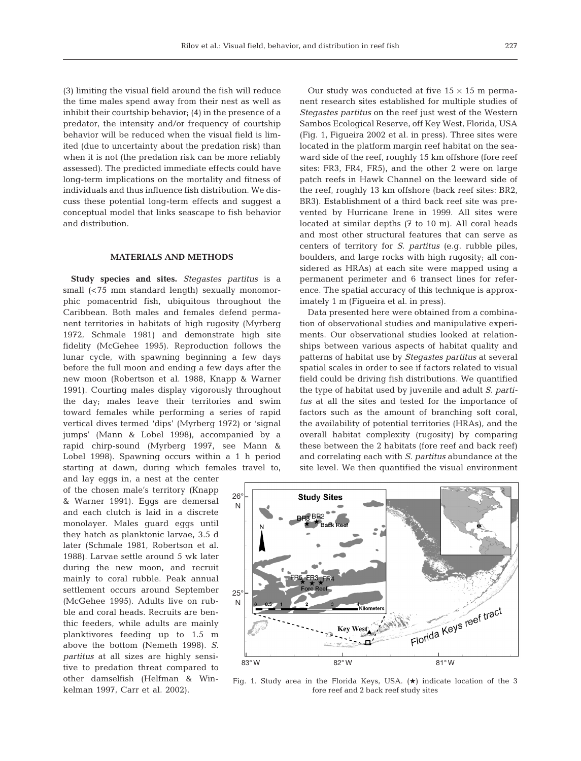(3) limiting the visual field around the fish will reduce the time males spend away from their nest as well as inhibit their courtship behavior; (4) in the presence of a predator, the intensity and/or frequency of courtship behavior will be reduced when the visual field is limited (due to uncertainty about the predation risk) than when it is not (the predation risk can be more reliably assessed). The predicted immediate effects could have long-term implications on the mortality and fitness of individuals and thus influence fish distribution. We discuss these potential long-term effects and suggest a conceptual model that links seascape to fish behavior and distribution.

## **MATERIALS AND METHODS**

**Study species and sites.** *Stegastes partitus* is a small (<75 mm standard length) sexually monomorphic pomacentrid fish, ubiquitous throughout the Caribbean. Both males and females defend permanent territories in habitats of high rugosity (Myrberg 1972, Schmale 1981) and demonstrate high site fidelity (McGehee 1995). Reproduction follows the lunar cycle, with spawning beginning a few days before the full moon and ending a few days after the new moon (Robertson et al. 1988, Knapp & Warner 1991). Courting males display vigorously throughout the day; males leave their territories and swim toward females while performing a series of rapid vertical dives termed 'dips' (Myrberg 1972) or 'signal jumps' (Mann & Lobel 1998), accompanied by a rapid chirp-sound (Myrberg 1997, see Mann & Lobel 1998). Spawning occurs within a 1 h period starting at dawn, during which females travel to,

and lay eggs in, a nest at the center of the chosen male's territory (Knapp & Warner 1991). Eggs are demersal and each clutch is laid in a discrete monolayer. Males guard eggs until they hatch as planktonic larvae, 3.5 d later (Schmale 1981, Robertson et al. 1988). Larvae settle around 5 wk later during the new moon, and recruit mainly to coral rubble. Peak annual settlement occurs around September (McGehee 1995). Adults live on rubble and coral heads. Recruits are benthic feeders, while adults are mainly planktivores feeding up to 1.5 m above the bottom (Nemeth 1998). *S. partitus* at all sizes are highly sensitive to predation threat compared to other damselfish (Helfman & Winkelman 1997, Carr et al. 2002).

Our study was conducted at five  $15 \times 15$  m permanent research sites established for multiple studies of *Stegastes partitus* on the reef just west of the Western Sambos Ecological Reserve, off Key West, Florida, USA (Fig. 1, Figueira 2002 et al. in press). Three sites were located in the platform margin reef habitat on the seaward side of the reef, roughly 15 km offshore (fore reef sites: FR3, FR4, FR5), and the other 2 were on large patch reefs in Hawk Channel on the leeward side of the reef, roughly 13 km offshore (back reef sites: BR2, BR3). Establishment of a third back reef site was prevented by Hurricane Irene in 1999. All sites were located at similar depths (7 to 10 m). All coral heads and most other structural features that can serve as centers of territory for *S. partitus* (e.g. rubble piles, boulders, and large rocks with high rugosity; all considered as HRAs) at each site were mapped using a permanent perimeter and 6 transect lines for reference. The spatial accuracy of this technique is approximately 1 m (Figueira et al. in press).

Data presented here were obtained from a combination of observational studies and manipulative experiments. Our observational studies looked at relationships between various aspects of habitat quality and patterns of habitat use by *Stegastes partitus* at several spatial scales in order to see if factors related to visual field could be driving fish distributions. We quantified the type of habitat used by juvenile and adult *S. partitus* at all the sites and tested for the importance of factors such as the amount of branching soft coral, the availability of potential territories (HRAs), and the overall habitat complexity (rugosity) by comparing these between the 2 habitats (fore reef and back reef) and correlating each with *S. partitus* abundance at the site level. We then quantified the visual environment



Fig. 1. Study area in the Florida Keys, USA.  $(\star)$  indicate location of the 3 fore reef and 2 back reef study sites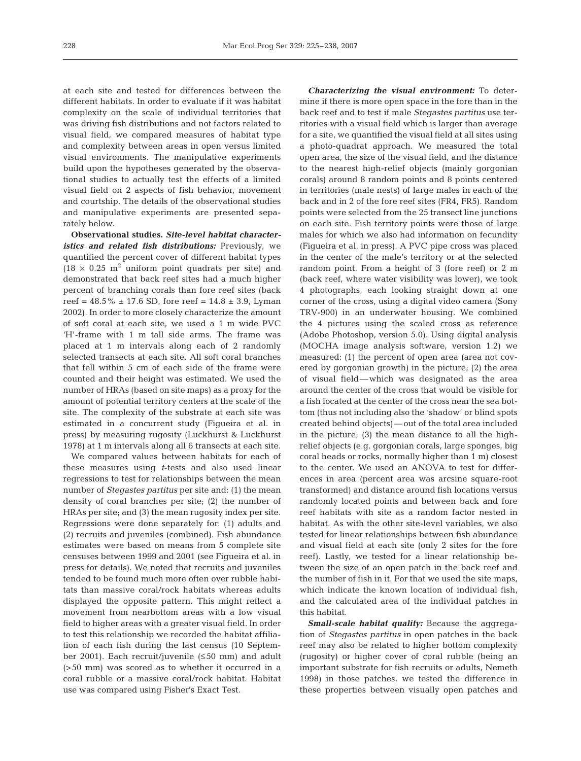at each site and tested for differences between the different habitats. In order to evaluate if it was habitat complexity on the scale of individual territories that was driving fish distributions and not factors related to visual field, we compared measures of habitat type and complexity between areas in open versus limited visual environments. The manipulative experiments build upon the hypotheses generated by the observational studies to actually test the effects of a limited visual field on 2 aspects of fish behavior, movement and courtship. The details of the observational studies and manipulative experiments are presented separately below.

**Observational studies.** *Site-level habitat characteristics and related fish distributions: Previously, we* quantified the percent cover of different habitat types  $(18 \times 0.25 \text{ m}^2 \text{ uniform point quadrats per site})$  and demonstrated that back reef sites had a much higher percent of branching corals than fore reef sites (back reef =  $48.5\% \pm 17.6$  SD, fore reef =  $14.8 \pm 3.9$ , Lyman 2002). In order to more closely characterize the amount of soft coral at each site, we used a 1 m wide PVC 'H'-frame with 1 m tall side arms. The frame was placed at 1 m intervals along each of 2 randomly selected transects at each site. All soft coral branches that fell within 5 cm of each side of the frame were counted and their height was estimated. We used the number of HRAs (based on site maps) as a proxy for the amount of potential territory centers at the scale of the site. The complexity of the substrate at each site was estimated in a concurrent study (Figueira et al. in press) by measuring rugosity (Luckhurst & Luckhurst 1978) at 1 m intervals along all 6 transects at each site.

We compared values between habitats for each of these measures using *t*-tests and also used linear regressions to test for relationships between the mean number of *Stegastes partitus* per site and: (1) the mean density of coral branches per site; (2) the number of HRAs per site; and (3) the mean rugosity index per site. Regressions were done separately for: (1) adults and (2) recruits and juveniles (combined). Fish abundance estimates were based on means from 5 complete site censuses between 1999 and 2001 (see Figueira et al. in press for details). We noted that recruits and juveniles tended to be found much more often over rubble habitats than massive coral/rock habitats whereas adults displayed the opposite pattern. This might reflect a movement from nearbottom areas with a low visual field to higher areas with a greater visual field. In order to test this relationship we recorded the habitat affiliation of each fish during the last census (10 September 2001). Each recruit/juvenile (≤50 mm) and adult (>50 mm) was scored as to whether it occurred in a coral rubble or a massive coral/rock habitat. Habitat use was compared using Fisher's Exact Test.

*Characterizing the visual environment:* To determine if there is more open space in the fore than in the back reef and to test if male *Stegastes partitus* use territories with a visual field which is larger than average for a site, we quantified the visual field at all sites using a photo-quadrat approach. We measured the total open area, the size of the visual field, and the distance to the nearest high-relief objects (mainly gorgonian corals) around 8 random points and 8 points centered in territories (male nests) of large males in each of the back and in 2 of the fore reef sites (FR4, FR5). Random points were selected from the 25 transect line junctions on each site. Fish territory points were those of large males for which we also had information on fecundity (Figueira et al. in press). A PVC pipe cross was placed in the center of the male's territory or at the selected random point. From a height of 3 (fore reef) or 2 m (back reef, where water visibility was lower), we took 4 photographs, each looking straight down at one corner of the cross, using a digital video camera (Sony TRV-900) in an underwater housing. We combined the 4 pictures using the scaled cross as reference (Adobe Photoshop, version 5.0). Using digital analysis (MOCHA image analysis software, version 1.2) we measured: (1) the percent of open area (area not covered by gorgonian growth) in the picture; (2) the area of visual field—which was designated as the area around the center of the cross that would be visible for a fish located at the center of the cross near the sea bottom (thus not including also the 'shadow' or blind spots created behind objects)—out of the total area included in the picture; (3) the mean distance to all the highrelief objects (e.g. gorgonian corals, large sponges, big coral heads or rocks, normally higher than 1 m) closest to the center. We used an ANOVA to test for differences in area (percent area was arcsine square-root transformed) and distance around fish locations versus randomly located points and between back and fore reef habitats with site as a random factor nested in habitat. As with the other site-level variables, we also tested for linear relationships between fish abundance and visual field at each site (only 2 sites for the fore reef). Lastly, we tested for a linear relationship between the size of an open patch in the back reef and the number of fish in it. For that we used the site maps, which indicate the known location of individual fish, and the calculated area of the individual patches in this habitat.

*Small-scale habitat quality:* Because the aggregation of *Stegastes partitus* in open patches in the back reef may also be related to higher bottom complexity (rugosity) or higher cover of coral rubble (being an important substrate for fish recruits or adults, Nemeth 1998) in those patches, we tested the difference in these properties between visually open patches and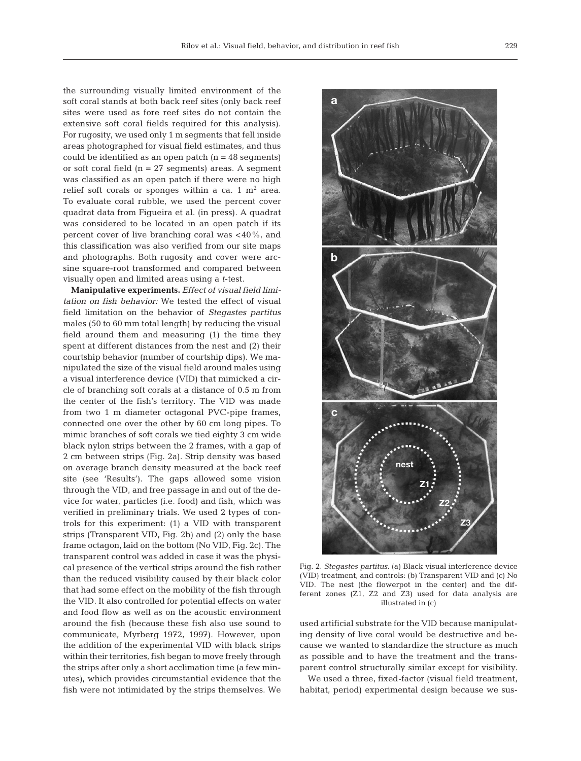the surrounding visually limited environment of the soft coral stands at both back reef sites (only back reef sites were used as fore reef sites do not contain the extensive soft coral fields required for this analysis). For rugosity, we used only 1 m segments that fell inside areas photographed for visual field estimates, and thus could be identified as an open patch  $(n = 48$  segments) or soft coral field (n = 27 segments) areas. A segment was classified as an open patch if there were no high relief soft corals or sponges within a ca. 1  $m<sup>2</sup>$  area. To evaluate coral rubble, we used the percent cover quadrat data from Figueira et al. (in press). A quadrat was considered to be located in an open patch if its percent cover of live branching coral was <40%, and this classification was also verified from our site maps and photographs. Both rugosity and cover were arcsine square-root transformed and compared between visually open and limited areas using a *t*-test.

**Manipulative experiments.** *Effect of visual field limitation on fish behavior:* We tested the effect of visual field limitation on the behavior of *Stegastes partitus* males (50 to 60 mm total length) by reducing the visual field around them and measuring (1) the time they spent at different distances from the nest and (2) their courtship behavior (number of courtship dips). We manipulated the size of the visual field around males using a visual interference device (VID) that mimicked a circle of branching soft corals at a distance of 0.5 m from the center of the fish's territory. The VID was made from two 1 m diameter octagonal PVC-pipe frames, connected one over the other by 60 cm long pipes. To mimic branches of soft corals we tied eighty 3 cm wide black nylon strips between the 2 frames, with a gap of 2 cm between strips (Fig. 2a). Strip density was based on average branch density measured at the back reef site (see 'Results'). The gaps allowed some vision through the VID, and free passage in and out of the device for water, particles (i.e. food) and fish, which was verified in preliminary trials. We used 2 types of controls for this experiment: (1) a VID with transparent strips (Transparent VID, Fig. 2b) and (2) only the base frame octagon, laid on the bottom (No VID, Fig. 2c). The transparent control was added in case it was the physical presence of the vertical strips around the fish rather than the reduced visibility caused by their black color that had some effect on the mobility of the fish through the VID. It also controlled for potential effects on water and food flow as well as on the acoustic environment around the fish (because these fish also use sound to communicate, Myrberg 1972, 1997). However, upon the addition of the experimental VID with black strips within their territories, fish began to move freely through the strips after only a short acclimation time (a few minutes), which provides circumstantial evidence that the fish were not intimidated by the strips themselves. We



Fig. 2. *Stegastes partitus.* (a) Black visual interference device (VID) treatment, and controls: (b) Transparent VID and (c) No VID. The nest (the flowerpot in the center) and the different zones (Z1, Z2 and Z3) used for data analysis are illustrated in (c)

used artificial substrate for the VID because manipulating density of live coral would be destructive and because we wanted to standardize the structure as much as possible and to have the treatment and the transparent control structurally similar except for visibility.

We used a three, fixed-factor (visual field treatment, habitat, period) experimental design because we sus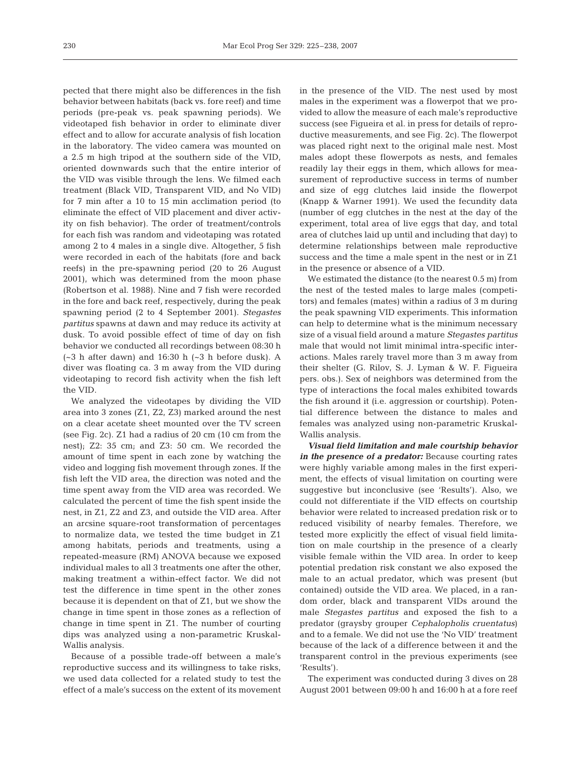pected that there might also be differences in the fish behavior between habitats (back vs. fore reef) and time periods (pre-peak vs. peak spawning periods). We videotaped fish behavior in order to eliminate diver effect and to allow for accurate analysis of fish location in the laboratory. The video camera was mounted on a 2.5 m high tripod at the southern side of the VID, oriented downwards such that the entire interior of the VID was visible through the lens. We filmed each treatment (Black VID, Transparent VID, and No VID) for 7 min after a 10 to 15 min acclimation period (to eliminate the effect of VID placement and diver activity on fish behavior). The order of treatment/controls for each fish was random and videotaping was rotated among 2 to 4 males in a single dive. Altogether, 5 fish were recorded in each of the habitats (fore and back reefs) in the pre-spawning period (20 to 26 August 2001), which was determined from the moon phase (Robertson et al. 1988). Nine and 7 fish were recorded in the fore and back reef, respectively, during the peak spawning period (2 to 4 September 2001). *Stegastes partitus* spawns at dawn and may reduce its activity at dusk. To avoid possible effect of time of day on fish behavior we conducted all recordings between 08:30 h  $\left(\sim3\right)$  h after dawn) and 16:30 h  $\left(\sim3\right)$  h before dusk). A diver was floating ca. 3 m away from the VID during videotaping to record fish activity when the fish left the VID.

We analyzed the videotapes by dividing the VID area into 3 zones (Z1, Z2, Z3) marked around the nest on a clear acetate sheet mounted over the TV screen (see Fig. 2c). Z1 had a radius of 20 cm (10 cm from the nest); Z2: 35 cm; and Z3: 50 cm. We recorded the amount of time spent in each zone by watching the video and logging fish movement through zones. If the fish left the VID area, the direction was noted and the time spent away from the VID area was recorded. We calculated the percent of time the fish spent inside the nest, in Z1, Z2 and Z3, and outside the VID area. After an arcsine square-root transformation of percentages to normalize data, we tested the time budget in Z1 among habitats, periods and treatments, using a repeated-measure (RM) ANOVA because we exposed individual males to all 3 treatments one after the other, making treatment a within-effect factor. We did not test the difference in time spent in the other zones because it is dependent on that of Z1, but we show the change in time spent in those zones as a reflection of change in time spent in Z1. The number of courting dips was analyzed using a non-parametric Kruskal-Wallis analysis.

Because of a possible trade-off between a male's reproductive success and its willingness to take risks, we used data collected for a related study to test the effect of a male's success on the extent of its movement

in the presence of the VID. The nest used by most males in the experiment was a flowerpot that we provided to allow the measure of each male's reproductive success (see Figueira et al. in press for details of reproductive measurements, and see Fig. 2c). The flowerpot was placed right next to the original male nest. Most males adopt these flowerpots as nests, and females readily lay their eggs in them, which allows for measurement of reproductive success in terms of number and size of egg clutches laid inside the flowerpot (Knapp & Warner 1991). We used the fecundity data (number of egg clutches in the nest at the day of the experiment, total area of live eggs that day, and total area of clutches laid up until and including that day) to determine relationships between male reproductive success and the time a male spent in the nest or in Z1 in the presence or absence of a VID.

We estimated the distance (to the nearest 0.5 m) from the nest of the tested males to large males (competitors) and females (mates) within a radius of 3 m during the peak spawning VID experiments. This information can help to determine what is the minimum necessary size of a visual field around a mature *Stegastes partitus* male that would not limit minimal intra-specific interactions. Males rarely travel more than 3 m away from their shelter (G. Rilov, S. J. Lyman & W. F. Figueira pers. obs.). Sex of neighbors was determined from the type of interactions the focal males exhibited towards the fish around it (i.e. aggression or courtship). Potential difference between the distance to males and females was analyzed using non-parametric Kruskal-Wallis analysis.

*Visual field limitation and male courtship behavior in the presence of a predator:* Because courting rates were highly variable among males in the first experiment, the effects of visual limitation on courting were suggestive but inconclusive (see 'Results'). Also, we could not differentiate if the VID effects on courtship behavior were related to increased predation risk or to reduced visibility of nearby females. Therefore, we tested more explicitly the effect of visual field limitation on male courtship in the presence of a clearly visible female within the VID area. In order to keep potential predation risk constant we also exposed the male to an actual predator, which was present (but contained) outside the VID area. We placed, in a random order, black and transparent VIDs around the male *Stegastes partitus* and exposed the fish to a predator (graysby grouper *Cephalopholis cruentatus*) and to a female. We did not use the 'No VID' treatment because of the lack of a difference between it and the transparent control in the previous experiments (see 'Results').

The experiment was conducted during 3 dives on 28 August 2001 between 09:00 h and 16:00 h at a fore reef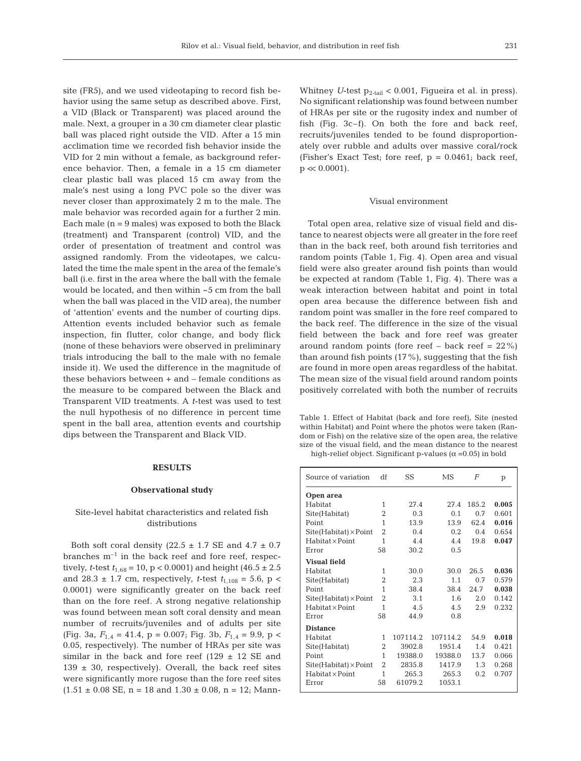site (FR5), and we used videotaping to record fish behavior using the same setup as described above. First, a VID (Black or Transparent) was placed around the male. Next, a grouper in a 30 cm diameter clear plastic ball was placed right outside the VID. After a 15 min acclimation time we recorded fish behavior inside the VID for 2 min without a female, as background reference behavior. Then, a female in a 15 cm diameter clear plastic ball was placed 15 cm away from the male's nest using a long PVC pole so the diver was never closer than approximately 2 m to the male. The male behavior was recorded again for a further 2 min. Each male  $(n = 9$  males) was exposed to both the Black (treatment) and Transparent (control) VID, and the order of presentation of treatment and control was assigned randomly. From the videotapes, we calculated the time the male spent in the area of the female's ball (i.e. first in the area where the ball with the female would be located, and then within ~5 cm from the ball when the ball was placed in the VID area), the number of 'attention' events and the number of courting dips. Attention events included behavior such as female inspection, fin flutter, color change, and body flick (none of these behaviors were observed in preliminary trials introducing the ball to the male with no female inside it). We used the difference in the magnitude of these behaviors between + and – female conditions as the measure to be compared between the Black and Transparent VID treatments. A *t*-test was used to test the null hypothesis of no difference in percent time spent in the ball area, attention events and courtship dips between the Transparent and Black VID.

## **RESULTS**

#### **Observational study**

# Site-level habitat characteristics and related fish distributions

Both soft coral density (22.5  $\pm$  1.7 SE and 4.7  $\pm$  0.7 branches  $m^{-1}$  in the back reef and fore reef, respectively, *t*-test  $t_{1,68} = 10$ ,  $p < 0.0001$ ) and height  $(46.5 \pm 2.5)$ and 28.3  $\pm$  1.7 cm, respectively, *t*-test  $t_{1,108} = 5.6$ , p < 0.0001) were significantly greater on the back reef than on the fore reef. A strong negative relationship was found between mean soft coral density and mean number of recruits/juveniles and of adults per site (Fig. 3a,  $F_{1,4} = 41.4$ , p = 0.007; Fig. 3b,  $F_{1,4} = 9.9$ , p < 0.05, respectively). The number of HRAs per site was similar in the back and fore reef  $(129 \pm 12 \text{ SE and})$  $139 \pm 30$ , respectively). Overall, the back reef sites were significantly more rugose than the fore reef sites  $(1.51 \pm 0.08 \text{ SE}, n = 18 \text{ and } 1.30 \pm 0.08, n = 12; \text{ Mann}$ -

Whitney  $U$ -test  $p_{2-tail} < 0.001$ , Figueira et al. in press). No significant relationship was found between number of HRAs per site or the rugosity index and number of fish (Fig. 3c–f). On both the fore and back reef, recruits/juveniles tended to be found disproportionately over rubble and adults over massive coral/rock (Fisher's Exact Test; fore reef,  $p = 0.0461$ ; back reef,  $p \ll 0.0001$ ).

#### Visual environment

Total open area, relative size of visual field and distance to nearest objects were all greater in the fore reef than in the back reef, both around fish territories and random points (Table 1, Fig. 4). Open area and visual field were also greater around fish points than would be expected at random (Table 1, Fig. 4). There was a weak interaction between habitat and point in total open area because the difference between fish and random point was smaller in the fore reef compared to the back reef. The difference in the size of the visual field between the back and fore reef was greater around random points (fore reef  $-$  back reef  $= 22\%$ ) than around fish points  $(17\%)$ , suggesting that the fish are found in more open areas regardless of the habitat. The mean size of the visual field around random points positively correlated with both the number of recruits

Table 1. Effect of Habitat (back and fore reef), Site (nested within Habitat) and Point where the photos were taken (Random or Fish) on the relative size of the open area, the relative size of the visual field, and the mean distance to the nearest high-relief object. Significant p-values ( $\alpha$  =0.05) in bold

| Source of variation          | df             | SS       | MS       | $\overline{F}$ | p     |
|------------------------------|----------------|----------|----------|----------------|-------|
| Open area                    |                |          |          |                |       |
| Habitat                      | 1              | 27.4     | 27.4     | 185.2          | 0.005 |
| Site(Habitat)                | 2              | 0.3      | 0.1      | 0.7            | 0.601 |
| Point                        | 1              | 13.9     | 13.9     | 62.4           | 0.016 |
| $Site(Habitat) \times Point$ | $\overline{2}$ | 0.4      | 0.2      | 0.4            | 0.654 |
| $H$ abitat $\times$ Point    | 1              | 4.4      | 4.4      | 19.8           | 0.047 |
| Error                        | 58             | 30.2     | 0.5      |                |       |
| <b>Visual field</b>          |                |          |          |                |       |
| Habitat                      | 1              | 30.0     | 30.0     | 26.5           | 0.036 |
| Site(Habitat)                | 2              | 2.3      | 1.1      | 0.7            | 0.579 |
| Point                        | 1              | 38.4     | 38.4     | 24.7           | 0.038 |
| $Site(Habitat) \times Point$ | $\overline{2}$ | 3.1      | 1.6      | 2.0            | 0.142 |
| $H$ abitat $\times$ Point    | 1              | 4.5      | 4.5      | 2.9            | 0.232 |
| Error                        | 58             | 44.9     | 0.8      |                |       |
| <b>Distance</b>              |                |          |          |                |       |
| Habitat                      | 1              | 107114.2 | 107114.2 | 54.9           | 0.018 |
| Site(Habitat)                | 2              | 3902.8   | 1951.4   | 1.4            | 0.421 |
| Point                        | 1              | 19388.0  | 19388.0  | 13.7           | 0.066 |
| $Site(Habitat) \times Point$ | $\overline{2}$ | 2835.8   | 1417.9   | 1.3            | 0.268 |
| $H$ abitat $\times$ Point    | 1              | 265.3    | 265.3    | 0.2            | 0.707 |
| Error                        | 58             | 61079.2  | 1053.1   |                |       |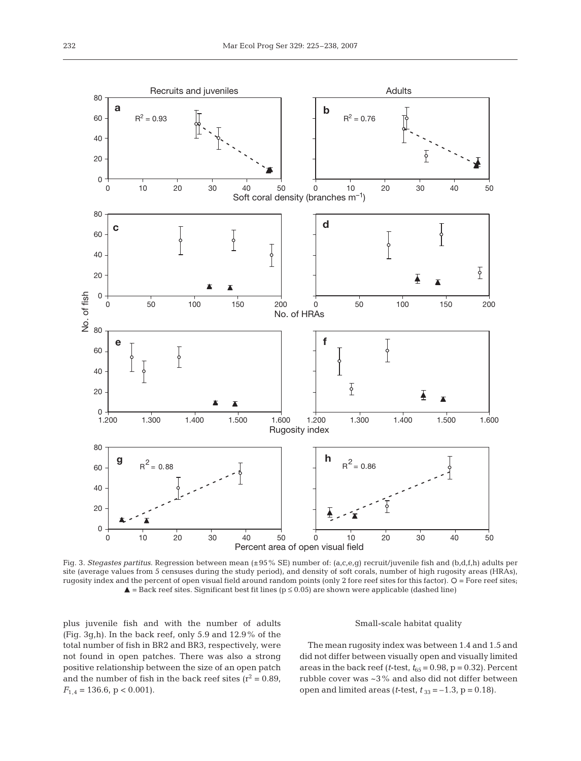

Fig. 3. *Stegastes partitus*. Regression between mean (±95% SE) number of: (a,c,e,g) recruit/juvenile fish and (b,d,f,h) adults per site (average values from 5 censuses during the study period), and density of soft corals, number of high rugosity areas (HRAs), rugosity index and the percent of open visual field around random points (only 2 fore reef sites for this factor).  $O =$  Fore reef sites;  $\blacktriangle$  = Back reef sites. Significant best fit lines (p ≤ 0.05) are shown were applicable (dashed line)

plus juvenile fish and with the number of adults (Fig. 3g,h). In the back reef, only 5.9 and 12.9% of the total number of fish in BR2 and BR3, respectively, were not found in open patches. There was also a strong positive relationship between the size of an open patch and the number of fish in the back reef sites ( $r^2$  = 0.89,  $F_{1.4} = 136.6, p < 0.001$ ).

#### Small-scale habitat quality

The mean rugosity index was between 1.4 and 1.5 and did not differ between visually open and visually limited areas in the back reef ( $t$ -test,  $t_{65} = 0.98$ ,  $p = 0.32$ ). Percent rubble cover was ~3% and also did not differ between open and limited areas (*t*-test,  $t_{33} = -1.3$ ,  $p = 0.18$ ).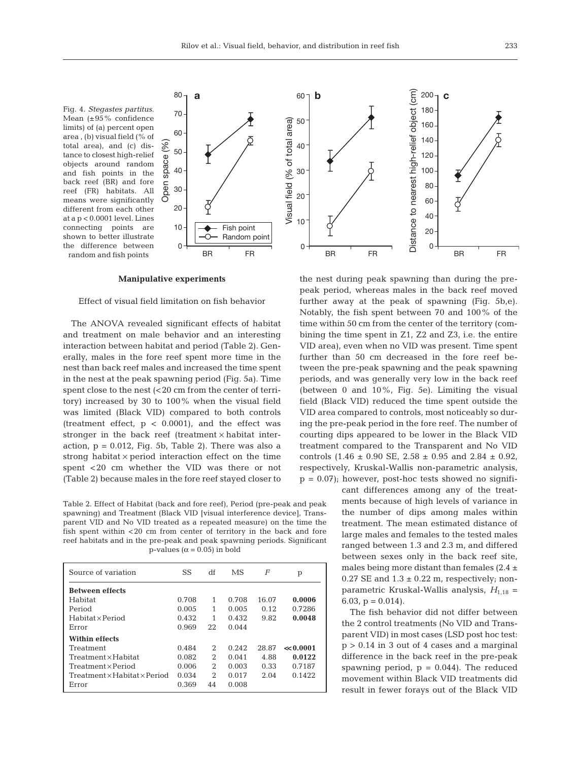Fig. 4. *Stegastes partitus.* Mean (±95% confidence limits) of (a) percent open area , (b) visual field (% of total area), and (c) distance to closest high-relief objects around random and fish points in the back reef (BR) and fore reef (FR) habitats. All means were significantly different from each other at a p < 0.0001 level. Lines connecting points are shown to better illustrate the difference between random and fish points



#### **Manipulative experiments**

# Effect of visual field limitation on fish behavior

The ANOVA revealed significant effects of habitat and treatment on male behavior and an interesting interaction between habitat and period (Table 2). Generally, males in the fore reef spent more time in the nest than back reef males and increased the time spent in the nest at the peak spawning period (Fig. 5a). Time spent close to the nest (<20 cm from the center of territory) increased by 30 to 100% when the visual field was limited (Black VID) compared to both controls (treatment effect,  $p < 0.0001$ ), and the effect was stronger in the back reef (treatment  $\times$  habitat interaction,  $p = 0.012$ , Fig. 5b, Table 2). There was also a strong habitat  $\times$  period interaction effect on the time spent <20 cm whether the VID was there or not (Table 2) because males in the fore reef stayed closer to

Table 2. Effect of Habitat (back and fore reef), Period (pre-peak and peak spawning) and Treatment (Black VID [visual interference device], Transparent VID and No VID treated as a repeated measure) on the time the fish spent within <20 cm from center of territory in the back and fore reef habitats and in the pre-peak and peak spawning periods. Significant p-values ( $\alpha$  = 0.05) in bold

| Source of variation                      | SS    | df                          | MS    | F     | p            |
|------------------------------------------|-------|-----------------------------|-------|-------|--------------|
| <b>Between effects</b>                   |       |                             |       |       |              |
| Habitat                                  | 0.708 | 1                           | 0.708 | 16.07 | 0.0006       |
| Period                                   | 0.005 | 1                           | 0.005 | 0.12  | 0.7286       |
| $H$ abitat $\times$ Period               | 0.432 | 1                           | 0.432 | 9.82  | 0.0048       |
| Error                                    | 0.969 | 22                          | 0.044 |       |              |
| <b>Within effects</b>                    |       |                             |       |       |              |
| Treatment                                | 0.484 | 2                           | 0.242 | 28.87 | $\ll 0.0001$ |
| $Treatment \times Habitat$               | 0.082 | $\mathcal{D}_{\mathcal{L}}$ | 0.041 | 4.88  | 0.0122       |
| Treatment x Period                       | 0.006 | $\mathcal{D}_{\mathcal{L}}$ | 0.003 | 0.33  | 0.7187       |
| $Treatment \times Habitat \times Period$ | 0.034 | $\mathcal{D}_{\mathcal{L}}$ | 0.017 | 2.04  | 0.1422       |
| Error                                    | 0.369 | 44                          | 0.008 |       |              |
|                                          |       |                             |       |       |              |



the nest during peak spawning than during the prepeak period, whereas males in the back reef moved further away at the peak of spawning (Fig. 5b,e). Notably, the fish spent between 70 and 100% of the time within 50 cm from the center of the territory (combining the time spent in Z1, Z2 and Z3, i.e. the entire VID area), even when no VID was present. Time spent further than 50 cm decreased in the fore reef between the pre-peak spawning and the peak spawning periods, and was generally very low in the back reef (between 0 and 10%, Fig. 5e). Limiting the visual field (Black VID) reduced the time spent outside the VID area compared to controls, most noticeably so during the pre-peak period in the fore reef. The number of courting dips appeared to be lower in the Black VID treatment compared to the Transparent and No VID controls  $(1.46 \pm 0.90 \text{ SE}, 2.58 \pm 0.95 \text{ and } 2.84 \pm 0.92,$ respectively, Kruskal-Wallis non-parametric analysis,  $p = 0.07$ ; however, post-hoc tests showed no signifi-

> cant differences among any of the treatments because of high levels of variance in the number of dips among males within treatment. The mean estimated distance of large males and females to the tested males ranged between 1.3 and 2.3 m, and differed between sexes only in the back reef site, males being more distant than females  $(2.4 \pm$ 0.27 SE and  $1.3 \pm 0.22$  m, respectively; nonparametric Kruskal-Wallis analysis,  $H_{1,18}$  = 6.03,  $p = 0.014$ .

> The fish behavior did not differ between the 2 control treatments (No VID and Transparent VID) in most cases (LSD post hoc test:  $p > 0.14$  in 3 out of 4 cases and a marginal difference in the back reef in the pre-peak spawning period,  $p = 0.044$ ). The reduced movement within Black VID treatments did result in fewer forays out of the Black VID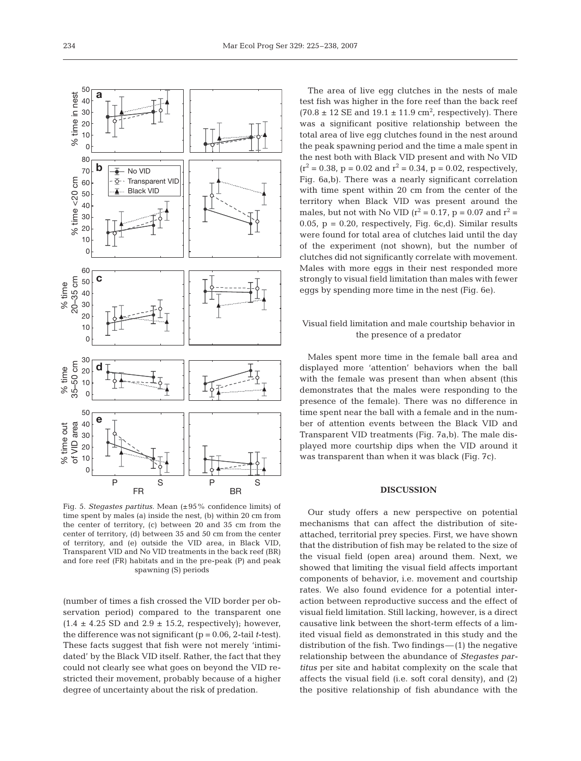

Fig. 5. *Stegastes partitus.* Mean (±95% confidence limits) of time spent by males (a) inside the nest, (b) within 20 cm from the center of territory, (c) between 20 and 35 cm from the center of territory, (d) between 35 and 50 cm from the center of territory, and (e) outside the VID area, in Black VID, Transparent VID and No VID treatments in the back reef (BR) and fore reef (FR) habitats and in the pre-peak (P) and peak spawning (S) periods

(number of times a fish crossed the VID border per observation period) compared to the transparent one  $(1.4 \pm 4.25$  SD and  $2.9 \pm 15.2$ , respectively); however, the difference was not significant (p = 0.06, 2-tail *t*-test). These facts suggest that fish were not merely 'intimidated' by the Black VID itself. Rather, the fact that they could not clearly see what goes on beyond the VID restricted their movement, probably because of a higher degree of uncertainty about the risk of predation.

The area of live egg clutches in the nests of male test fish was higher in the fore reef than the back reef  $(70.8 \pm 12 \text{ SE} \text{ and } 19.1 \pm 11.9 \text{ cm}^2, \text{ respectively}).$  There was a significant positive relationship between the total area of live egg clutches found in the nest around the peak spawning period and the time a male spent in the nest both with Black VID present and with No VID  $(r^2 = 0.38, p = 0.02 \text{ and } r^2 = 0.34, p = 0.02$ , respectively, Fig. 6a,b). There was a nearly significant correlation with time spent within 20 cm from the center of the territory when Black VID was present around the males, but not with No VID ( $r^2$  = 0.17, p = 0.07 and  $r^2$  = 0.05,  $p = 0.20$ , respectively, Fig. 6c,d). Similar results were found for total area of clutches laid until the day of the experiment (not shown), but the number of clutches did not significantly correlate with movement. Males with more eggs in their nest responded more strongly to visual field limitation than males with fewer eggs by spending more time in the nest (Fig. 6e).

# Visual field limitation and male courtship behavior in the presence of a predator

Males spent more time in the female ball area and displayed more 'attention' behaviors when the ball with the female was present than when absent (this demonstrates that the males were responding to the presence of the female). There was no difference in time spent near the ball with a female and in the number of attention events between the Black VID and Transparent VID treatments (Fig. 7a,b). The male displayed more courtship dips when the VID around it was transparent than when it was black (Fig. 7c).

## **DISCUSSION**

Our study offers a new perspective on potential mechanisms that can affect the distribution of siteattached, territorial prey species. First, we have shown that the distribution of fish may be related to the size of the visual field (open area) around them. Next, we showed that limiting the visual field affects important components of behavior, i.e. movement and courtship rates. We also found evidence for a potential interaction between reproductive success and the effect of visual field limitation. Still lacking, however, is a direct causative link between the short-term effects of a limited visual field as demonstrated in this study and the distribution of the fish. Two findings—(1) the negative relationship between the abundance of *Stegastes partitus* per site and habitat complexity on the scale that affects the visual field (i.e. soft coral density), and (2) the positive relationship of fish abundance with the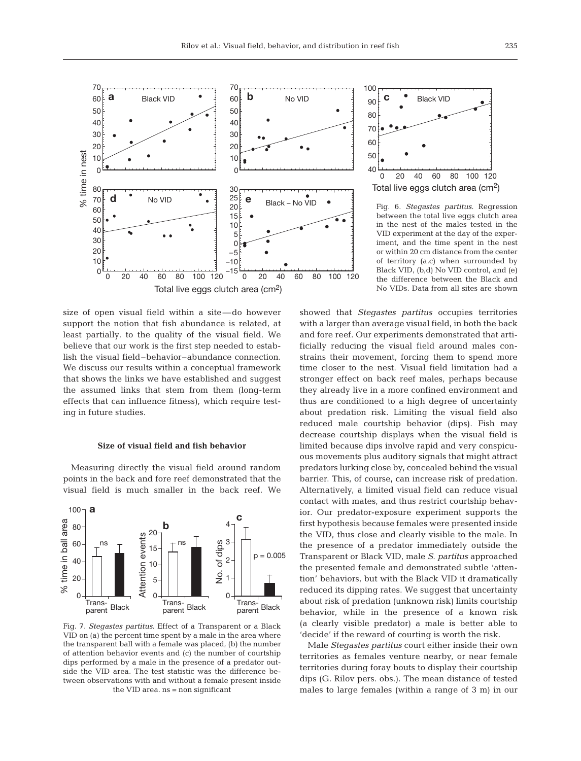

size of open visual field within a site—do however support the notion that fish abundance is related, at least partially, to the quality of the visual field. We believe that our work is the first step needed to establish the visual field–behavior–abundance connection. We discuss our results within a conceptual framework that shows the links we have established and suggest the assumed links that stem from them (long-term effects that can influence fitness), which require testing in future studies.

## **Size of visual field and fish behavior**

Measuring directly the visual field around random points in the back and fore reef demonstrated that the visual field is much smaller in the back reef. We



Fig. 7. *Stegastes partitus.* Effect of a Transparent or a Black VID on (a) the percent time spent by a male in the area where the transparent ball with a female was placed, (b) the number of attention behavior events and (c) the number of courtship dips performed by a male in the presence of a predator outside the VID area. The test statistic was the difference between observations with and without a female present inside the VID area. ns = non significant



Fig. 6. *Stegastes partitus.* Regression between the total live eggs clutch area in the nest of the males tested in the VID experiment at the day of the experiment, and the time spent in the nest or within 20 cm distance from the center of territory (a,c) when surrounded by Black VID, (b,d) No VID control, and (e) the difference between the Black and No VIDs. Data from all sites are shown

showed that *Stegastes partitus* occupies territories with a larger than average visual field, in both the back and fore reef. Our experiments demonstrated that artificially reducing the visual field around males constrains their movement, forcing them to spend more time closer to the nest. Visual field limitation had a stronger effect on back reef males, perhaps because they already live in a more confined environment and thus are conditioned to a high degree of uncertainty about predation risk. Limiting the visual field also reduced male courtship behavior (dips). Fish may decrease courtship displays when the visual field is limited because dips involve rapid and very conspicuous movements plus auditory signals that might attract predators lurking close by, concealed behind the visual barrier. This, of course, can increase risk of predation. Alternatively, a limited visual field can reduce visual contact with mates, and thus restrict courtship behavior. Our predator-exposure experiment supports the first hypothesis because females were presented inside the VID, thus close and clearly visible to the male. In the presence of a predator immediately outside the Transparent or Black VID, male *S. partitus* approached the presented female and demonstrated subtle 'attention' behaviors, but with the Black VID it dramatically reduced its dipping rates. We suggest that uncertainty about risk of predation (unknown risk) limits courtship behavior, while in the presence of a known risk (a clearly visible predator) a male is better able to 'decide' if the reward of courting is worth the risk.

Male *Stegastes partitus* court either inside their own territories as females venture nearby, or near female territories during foray bouts to display their courtship dips (G. Rilov pers. obs.). The mean distance of tested males to large females (within a range of 3 m) in our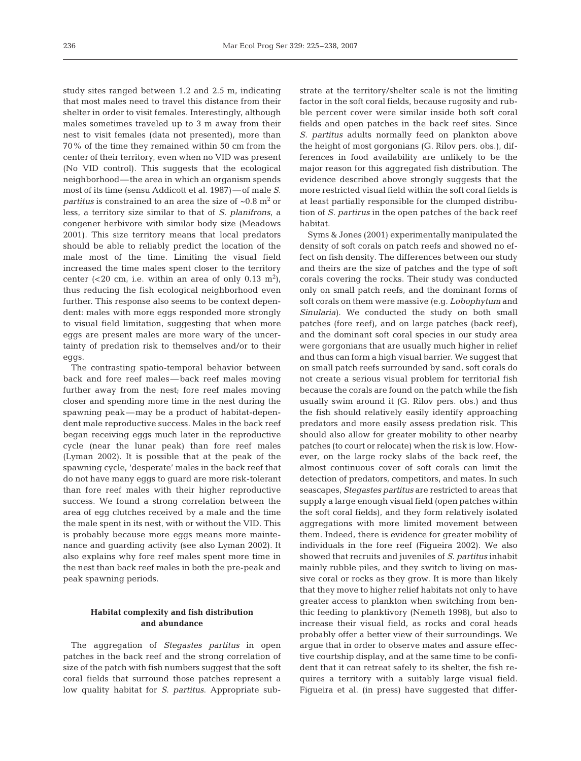study sites ranged between 1.2 and 2.5 m, indicating that most males need to travel this distance from their shelter in order to visit females. Interestingly, although males sometimes traveled up to 3 m away from their nest to visit females (data not presented), more than 70% of the time they remained within 50 cm from the center of their territory, even when no VID was present (No VID control). This suggests that the ecological neighborhood—the area in which an organism spends most of its time (sensu Addicott et al. 1987)—of male *S. partitus* is constrained to an area the size of  $\sim 0.8$  m<sup>2</sup> or less, a territory size similar to that of *S. planifrons*, a congener herbivore with similar body size (Meadows 2001). This size territory means that local predators should be able to reliably predict the location of the male most of the time. Limiting the visual field increased the time males spent closer to the territory center (<20 cm, i.e. within an area of only 0.13  $m<sup>2</sup>$ ), thus reducing the fish ecological neighborhood even further. This response also seems to be context dependent: males with more eggs responded more strongly to visual field limitation, suggesting that when more eggs are present males are more wary of the uncertainty of predation risk to themselves and/or to their eggs.

The contrasting spatio-temporal behavior between back and fore reef males—back reef males moving further away from the nest; fore reef males moving closer and spending more time in the nest during the spawning peak—may be a product of habitat-dependent male reproductive success. Males in the back reef began receiving eggs much later in the reproductive cycle (near the lunar peak) than fore reef males (Lyman 2002). It is possible that at the peak of the spawning cycle, 'desperate' males in the back reef that do not have many eggs to guard are more risk-tolerant than fore reef males with their higher reproductive success. We found a strong correlation between the area of egg clutches received by a male and the time the male spent in its nest, with or without the VID. This is probably because more eggs means more maintenance and guarding activity (see also Lyman 2002). It also explains why fore reef males spent more time in the nest than back reef males in both the pre-peak and peak spawning periods.

# **Habitat complexity and fish distribution and abundance**

The aggregation of *Stegastes partitus* in open patches in the back reef and the strong correlation of size of the patch with fish numbers suggest that the soft coral fields that surround those patches represent a low quality habitat for *S. partitus*. Appropriate substrate at the territory/shelter scale is not the limiting factor in the soft coral fields, because rugosity and rubble percent cover were similar inside both soft coral fields and open patches in the back reef sites. Since *S. partitus* adults normally feed on plankton above the height of most gorgonians (G. Rilov pers. obs.), differences in food availability are unlikely to be the major reason for this aggregated fish distribution. The evidence described above strongly suggests that the more restricted visual field within the soft coral fields is at least partially responsible for the clumped distribution of *S. partirus* in the open patches of the back reef habitat.

Syms & Jones (2001) experimentally manipulated the density of soft corals on patch reefs and showed no effect on fish density. The differences between our study and theirs are the size of patches and the type of soft corals covering the rocks. Their study was conducted only on small patch reefs, and the dominant forms of soft corals on them were massive (e.g. *Lobophytum* and *Sinularia*). We conducted the study on both small patches (fore reef), and on large patches (back reef), and the dominant soft coral species in our study area were gorgonians that are usually much higher in relief and thus can form a high visual barrier. We suggest that on small patch reefs surrounded by sand, soft corals do not create a serious visual problem for territorial fish because the corals are found on the patch while the fish usually swim around it (G. Rilov pers. obs.) and thus the fish should relatively easily identify approaching predators and more easily assess predation risk. This should also allow for greater mobility to other nearby patches (to court or relocate) when the risk is low. However, on the large rocky slabs of the back reef, the almost continuous cover of soft corals can limit the detection of predators, competitors, and mates. In such seascapes, *Stegastes partitus* are restricted to areas that supply a large enough visual field (open patches within the soft coral fields), and they form relatively isolated aggregations with more limited movement between them. Indeed, there is evidence for greater mobility of individuals in the fore reef (Figueira 2002). We also showed that recruits and juveniles of *S. partitus* inhabit mainly rubble piles, and they switch to living on massive coral or rocks as they grow. It is more than likely that they move to higher relief habitats not only to have greater access to plankton when switching from benthic feeding to planktivory (Nemeth 1998), but also to increase their visual field, as rocks and coral heads probably offer a better view of their surroundings. We argue that in order to observe mates and assure effective courtship display, and at the same time to be confident that it can retreat safely to its shelter, the fish requires a territory with a suitably large visual field. Figueira et al. (in press) have suggested that differ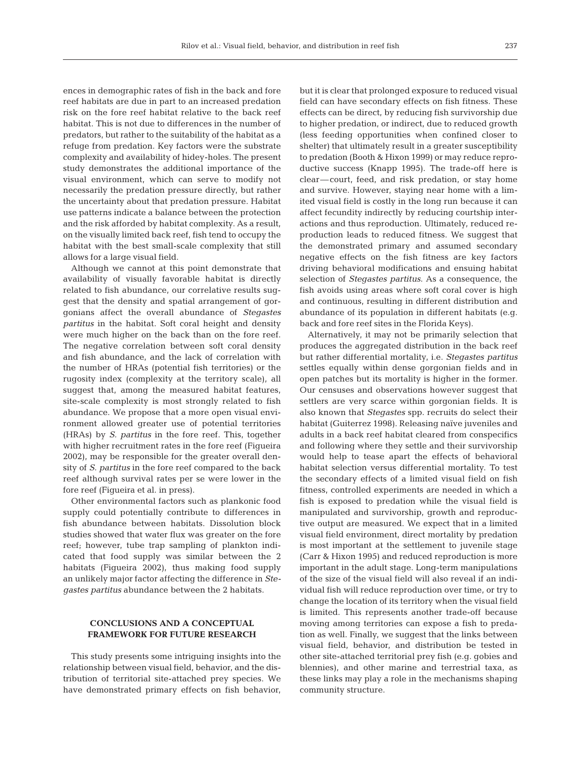ences in demographic rates of fish in the back and fore reef habitats are due in part to an increased predation risk on the fore reef habitat relative to the back reef habitat. This is not due to differences in the number of predators, but rather to the suitability of the habitat as a refuge from predation. Key factors were the substrate complexity and availability of hidey-holes. The present study demonstrates the additional importance of the visual environment, which can serve to modify not necessarily the predation pressure directly, but rather the uncertainty about that predation pressure. Habitat use patterns indicate a balance between the protection and the risk afforded by habitat complexity. As a result, on the visually limited back reef, fish tend to occupy the habitat with the best small-scale complexity that still allows for a large visual field.

Although we cannot at this point demonstrate that availability of visually favorable habitat is directly related to fish abundance, our correlative results suggest that the density and spatial arrangement of gorgonians affect the overall abundance of *Stegastes partitus* in the habitat. Soft coral height and density were much higher on the back than on the fore reef. The negative correlation between soft coral density and fish abundance, and the lack of correlation with the number of HRAs (potential fish territories) or the rugosity index (complexity at the territory scale), all suggest that, among the measured habitat features, site-scale complexity is most strongly related to fish abundance. We propose that a more open visual environment allowed greater use of potential territories (HRAs) by *S. partitus* in the fore reef. This, together with higher recruitment rates in the fore reef (Figueira 2002), may be responsible for the greater overall density of *S. partitus* in the fore reef compared to the back reef although survival rates per se were lower in the fore reef (Figueira et al. in press).

Other environmental factors such as plankonic food supply could potentially contribute to differences in fish abundance between habitats. Dissolution block studies showed that water flux was greater on the fore reef; however, tube trap sampling of plankton indicated that food supply was similar between the 2 habitats (Figueira 2002), thus making food supply an unlikely major factor affecting the difference in *Stegastes partitus* abundance between the 2 habitats.

# **CONCLUSIONS AND A CONCEPTUAL FRAMEWORK FOR FUTURE RESEARCH**

This study presents some intriguing insights into the relationship between visual field, behavior, and the distribution of territorial site-attached prey species. We have demonstrated primary effects on fish behavior,

but it is clear that prolonged exposure to reduced visual field can have secondary effects on fish fitness. These effects can be direct, by reducing fish survivorship due to higher predation, or indirect, due to reduced growth (less feeding opportunities when confined closer to shelter) that ultimately result in a greater susceptibility to predation (Booth & Hixon 1999) or may reduce reproductive success (Knapp 1995). The trade-off here is clear—court, feed, and risk predation, or stay home and survive. However, staying near home with a limited visual field is costly in the long run because it can affect fecundity indirectly by reducing courtship interactions and thus reproduction. Ultimately, reduced reproduction leads to reduced fitness. We suggest that the demonstrated primary and assumed secondary negative effects on the fish fitness are key factors driving behavioral modifications and ensuing habitat selection of *Stegastes partitus*. As a consequence, the fish avoids using areas where soft coral cover is high and continuous, resulting in different distribution and abundance of its population in different habitats (e.g. back and fore reef sites in the Florida Keys).

Alternatively, it may not be primarily selection that produces the aggregated distribution in the back reef but rather differential mortality, i.e. *Stegastes partitus* settles equally within dense gorgonian fields and in open patches but its mortality is higher in the former. Our censuses and observations however suggest that settlers are very scarce within gorgonian fields. It is also known that *Stegastes* spp. recruits do select their habitat (Guiterrez 1998). Releasing naïve juveniles and adults in a back reef habitat cleared from conspecifics and following where they settle and their survivorship would help to tease apart the effects of behavioral habitat selection versus differential mortality. To test the secondary effects of a limited visual field on fish fitness, controlled experiments are needed in which a fish is exposed to predation while the visual field is manipulated and survivorship, growth and reproductive output are measured. We expect that in a limited visual field environment, direct mortality by predation is most important at the settlement to juvenile stage (Carr & Hixon 1995) and reduced reproduction is more important in the adult stage. Long-term manipulations of the size of the visual field will also reveal if an individual fish will reduce reproduction over time, or try to change the location of its territory when the visual field is limited. This represents another trade-off because moving among territories can expose a fish to predation as well. Finally, we suggest that the links between visual field, behavior, and distribution be tested in other site-attached territorial prey fish (e.g. gobies and blennies), and other marine and terrestrial taxa, as these links may play a role in the mechanisms shaping community structure.